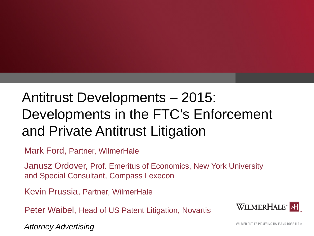# Antitrust Developments – 2015: Developments in the FTC's Enforcement and Private Antitrust Litigation

Mark Ford, Partner, WilmerHale

Janusz Ordover, Prof. Emeritus of Economics, New York University and Special Consultant, Compass Lexecon

Kevin Prussia, Partner, WilmerHale

Peter Waibel, Head of US Patent Litigation, Novartis



*Attorney Advertising*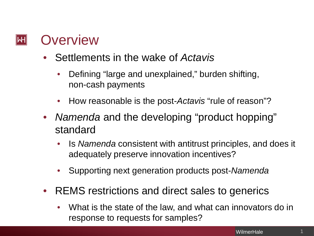### **Overview**  $\left\Vert \mathsf{H}\right\Vert$

- Settlements in the wake of *Actavis*
	- Defining "large and unexplained," burden shifting, non-cash payments
	- How reasonable is the post-*Actavis* "rule of reason"?
- *Namenda* and the developing "product hopping" standard
	- Is *Namenda* consistent with antitrust principles, and does it adequately preserve innovation incentives?
	- Supporting next generation products post-*Namenda*
- REMS restrictions and direct sales to generics
	- What is the state of the law, and what can innovators do in response to requests for samples?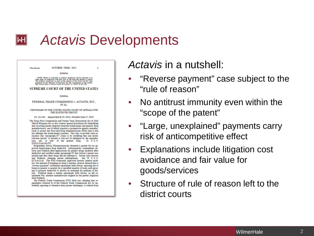OCTOBER TERM, 2012  $\mathbf{I}$ (Slip Opinion) Syllabus NOTE: Where it is feasible, a syllabus (headnote) will be released, as is being done in connection with this case, at the time of the cylinder is treated The syllabus of the syllabus of the cylinder presented by the Repor **SUPREME COURT OF THE UNITED STATES** Syllabus FEDERAL TRADE COMMISSION v. ACTAVIS, INC., ET AL CERTIORARI TO THE UNITED STATES COURT OF APPEALS FOR THE ELEVENTH CIRCUIT No. 12-416. Argued March 25, 2013-Decided June 17, 2013 The Drug Price Competition and Patent Term Restoration Act of 1984 (Hatch-Waxman Act or Act) creates special procedures for identifying and resolving patent disputes between brand-name and generic drug manufacturers, one of which requires a prospective generic manufacturer to assure the Food and Drug Administration (FDA) that it will not infringe the brand-name's patents. One way to provide such assurance (the "paragraph IV" route) is by certifying that any listed, relevant patent "is invalid or will not be infringed by the manufacture, use, or sale" of the generic drug. 21 U.S.C. §355(j)(2)(A)(vii)(IV). Respondent Solvay Pharmaceuticals obtained a patent for its approved brand-name drug AndroGel. Subsequently, respondents Actavis and Paddock filed applications for generic drugs modeled after AndroGel and certified under paragraph IV that Solvay's patent was invalid and that their drugs did not infringe it. Solvay sued Actavis and Paddock, claiming patent infringement. See 35 U.S.C. §271(e)(2)(A). The FDA eventually approved Actavis' generic product, but instead of bringing its drug to market, Actavis entered into a "reverse payment" settlement agreement with Solvay, agreeing not to bring its generic to market for a specified number of years and agreeing to promote AndroGel to doctors in exchange for millions of dollars. Paddock made a similar agreement with Solvay, as did respondent Par, another manufacturer aligned in the patent litigation with Paddock The Federal Trade Commission (FTC) filed suit, alleging that re-

spondents violated §5 of the Federal Trade Commission Act by unlawfully agreeing to abandon their patent challenges, to refrain from *Actavis* in a nutshell:

- "Reverse payment" case subject to the "rule of reason"
- No antitrust immunity even within the "scope of the patent"
- "Large, unexplained" payments carry risk of anticompetitive effect
- Explanations include litigation cost avoidance and fair value for goods/services
- Structure of rule of reason left to the district courts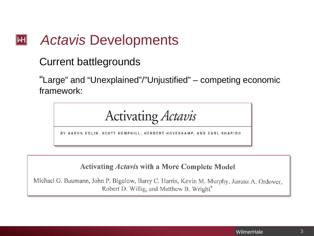### Current battlegrounds

"Large" and "Unexplained"/"Unjustified" – competing economic framework:

Activating *Actavis* 

BY AARON EDLIN, SCOTT HEMPHILL, HERBERT HOVENKAMP, AND CARL SHAPIRO

### **Activating Actavis with a More Complete Model**

Michael G. Baumann, John P. Bigelow, Barry C. Harris, Kevin M. Murphy, Janusz A. Ordover, Robert D. Willig, and Matthew B. Wright<sup>\*</sup>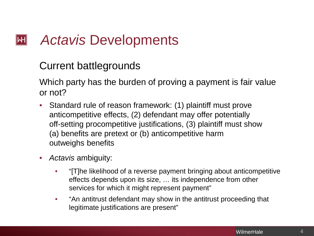## Current battlegrounds

Which party has the burden of proving a payment is fair value or not?

- Standard rule of reason framework: (1) plaintiff must prove anticompetitive effects, (2) defendant may offer potentially off-setting procompetitive justifications, (3) plaintiff must show (a) benefits are pretext or (b) anticompetitive harm outweighs benefits
- *Actavis* ambiguity:
	- "[T]he likelihood of a reverse payment bringing about anticompetitive effects depends upon its size, … its independence from other services for which it might represent payment"
	- "An antitrust defendant may show in the antitrust proceeding that legitimate justifications are present"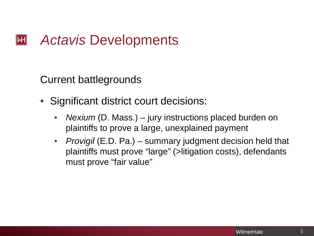Current battlegrounds

- Significant district court decisions:
	- *Nexium* (D. Mass.) jury instructions placed burden on plaintiffs to prove a large, unexplained payment
	- *Provigil* (E.D. Pa.) summary judgment decision held that plaintiffs must prove "large" (>litigation costs), defendants must prove "fair value"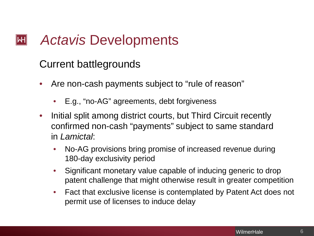### Current battlegrounds

- Are non-cash payments subject to "rule of reason"
	- E.g., "no-AG" agreements, debt forgiveness
- Initial split among district courts, but Third Circuit recently confirmed non-cash "payments" subject to same standard in *Lamictal*:
	- No-AG provisions bring promise of increased revenue during 180-day exclusivity period
	- Significant monetary value capable of inducing generic to drop patent challenge that might otherwise result in greater competition
	- Fact that exclusive license is contemplated by Patent Act does not permit use of licenses to induce delay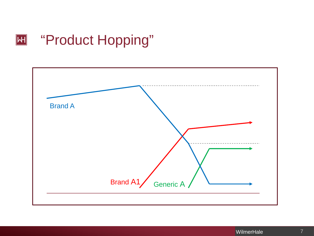## **E Hopping**"

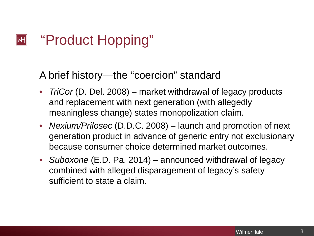### "Product Hopping"  $\mathsf{|\mathsf{H}|}$

### A brief history—the "coercion" standard

- *TriCor* (D. Del. 2008) market withdrawal of legacy products and replacement with next generation (with allegedly meaningless change) states monopolization claim.
- *Nexium/Prilosec* (D.D.C. 2008) launch and promotion of next generation product in advance of generic entry not exclusionary because consumer choice determined market outcomes.
- *Suboxone* (E.D. Pa. 2014) announced withdrawal of legacy combined with alleged disparagement of legacy's safety sufficient to state a claim.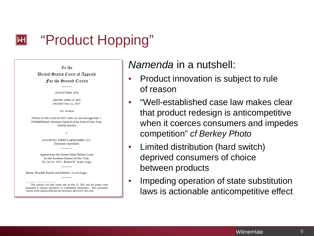### "Product Hopping"  $\left\Vert \mathsf{H}\right\Vert$

In the **United States Court of Appeals** For the Second Circuit

#### **AUGUST TERM. 2014**

ARGUED: APRIL 13, 2015 **DECIDED:** MAY 22, 2015<sup>1</sup>

No. 14-4624

PEOPLE OF THE STATE OF NEW YORK, by and through ERIC T. SCHNEIDERMAN, Attorney General of the State of New York Plaintiff-Appellee,

> **ACTAVIS PLC. FOREST LABORATORIES. LLC.** Defendants-Appellants.

Appeal from the United States District Court for the Southern District of New York. No. 14 Civ. 7473 - Robert W. Sweet, Judge.

Before: WALKER, RAGGI, and DRONEY, Circuit Judges.

<sup>1</sup> This opinion was filed under seal on May 22, 2015, and the parties were permitted to request redactions of confidential information. This published version of the opinion indicates the redactions allowed by the court.

*Namenda* in a nutshell:

- Product innovation is subject to rule of reason
- "Well-established case law makes clear that product redesign is anticompetitive when it coerces consumers and impedes competition" *cf Berkey Photo*
- Limited distribution (hard switch) deprived consumers of choice between products
- Impeding operation of state substitution laws is actionable anticompetitive effect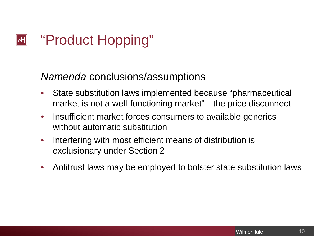### "Product Hopping"  $|\mathsf{H}|$

*Namenda* conclusions/assumptions

- State substitution laws implemented because "pharmaceutical market is not a well-functioning market"—the price disconnect
- Insufficient market forces consumers to available generics without automatic substitution
- Interfering with most efficient means of distribution is exclusionary under Section 2
- Antitrust laws may be employed to bolster state substitution laws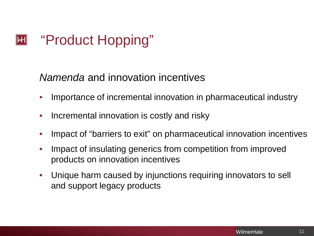### "Product Hopping"  $|\mathsf{H}|$

*Namenda* and innovation incentives

- Importance of incremental innovation in pharmaceutical industry
- Incremental innovation is costly and risky
- Impact of "barriers to exit" on pharmaceutical innovation incentives
- Impact of insulating generics from competition from improved products on innovation incentives
- Unique harm caused by injunctions requiring innovators to sell and support legacy products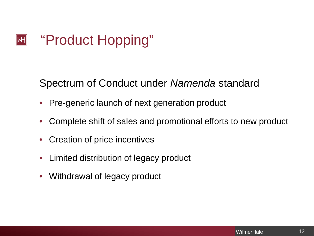### "Product Hopping"  $|\mathsf{H}|$

Spectrum of Conduct under *Namenda* standard

- Pre-generic launch of next generation product
- Complete shift of sales and promotional efforts to new product
- Creation of price incentives
- Limited distribution of legacy product
- Withdrawal of legacy product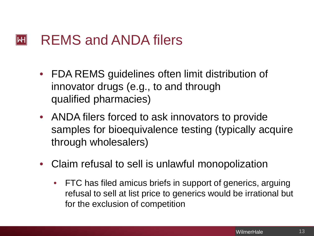#### REMS and ANDA filers  $\left\Vert \mathsf{H}\right\Vert$

- FDA REMS guidelines often limit distribution of innovator drugs (e.g., to and through qualified pharmacies)
- ANDA filers forced to ask innovators to provide samples for bioequivalence testing (typically acquire through wholesalers)
- Claim refusal to sell is unlawful monopolization
	- FTC has filed amicus briefs in support of generics, arguing refusal to sell at list price to generics would be irrational but for the exclusion of competition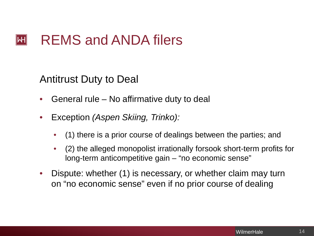### REMS and ANDA filers  $\left\Vert \mathsf{H}\right\Vert$

### Antitrust Duty to Deal

- General rule No affirmative duty to deal
- Exception *(Aspen Skiing, Trinko):*
	- (1) there is a prior course of dealings between the parties; and
	- (2) the alleged monopolist irrationally forsook short-term profits for long-term anticompetitive gain – "no economic sense"
- Dispute: whether (1) is necessary, or whether claim may turn on "no economic sense" even if no prior course of dealing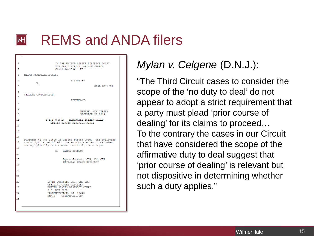### REMS and ANDA filers IMI

| 1  | IN THE UNITED STATES DISTRICT COURT                                                                              |
|----|------------------------------------------------------------------------------------------------------------------|
| 2  | FOR THE DISTRICT OF NEW JERSEY<br>Civil 14-2094 ES                                                               |
| 3  | MYLAN PHARMACEUTICALS,                                                                                           |
| 4  | PLAINTIFF<br>v.                                                                                                  |
| 5  | ORAL OPINION                                                                                                     |
| 6  | CELGENE CORPORATION,                                                                                             |
| 7  | DEFENDANT.                                                                                                       |
| 8  |                                                                                                                  |
| 9  | NEWARK, NEW JERSEY                                                                                               |
| 10 | DECEMBER 22,2014                                                                                                 |
| 11 | BEFORE: HONORABLE ESTHER SALAS,<br>UNITED STATES DISTRICT JUDGE                                                  |
| 12 |                                                                                                                  |
| 13 |                                                                                                                  |
| 14 | Pursuant to 753 Title 28 United States Code, the following                                                       |
| 15 | transcript is certified to be an accurate record as taken<br>stenographically in the above-entitled proceedings. |
| 16 | S/ LYNNE JOHNSON                                                                                                 |
| 17 |                                                                                                                  |
| 18 | Lynne Johnson, CSR, CM, CRR<br>Official Court Reporter                                                           |
| 19 |                                                                                                                  |
| 20 |                                                                                                                  |
| 21 |                                                                                                                  |
| 22 | LYNNE JOHNSON, CSR, CM, CRR<br>OFFICIAL COURT REPORTER                                                           |
| 23 | UNITED STATES DISTRICT COURT<br>P.O. BOX 6822                                                                    |
| 24 | LAWRENCEVILLE, NJ 08648<br>EMAIL: CHJLAW@AOL.COM.                                                                |
| 25 |                                                                                                                  |
|    |                                                                                                                  |

## *Mylan v. Celgene* (D.N.J.):

"The Third Circuit cases to consider the scope of the 'no duty to deal' do not appear to adopt a strict requirement that a party must plead 'prior course of dealing' for its claims to proceed… To the contrary the cases in our Circuit that have considered the scope of the affirmative duty to deal suggest that 'prior course of dealing' is relevant but not dispositive in determining whether such a duty applies."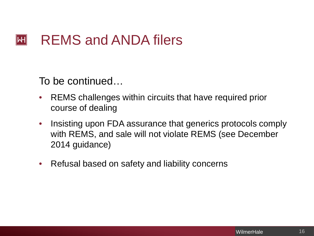### $|\mathsf{H}|$ REMS and ANDA filers

To be continued…

- REMS challenges within circuits that have required prior course of dealing
- Insisting upon FDA assurance that generics protocols comply with REMS, and sale will not violate REMS (see December 2014 guidance)
- Refusal based on safety and liability concerns